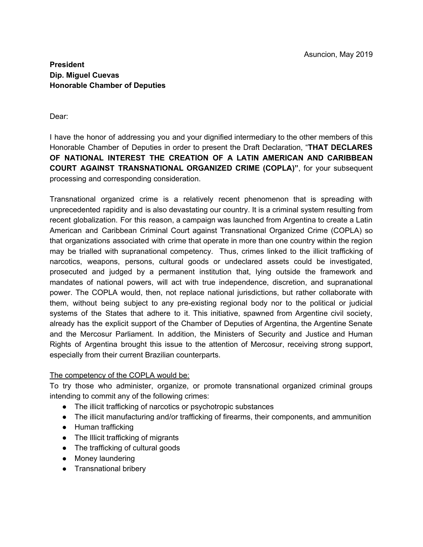## **President Dip. Miguel Cuevas Honorable Chamber of Deputies**

#### Dear:

I have the honor of addressing you and your dignified intermediary to the other members of this Honorable Chamber of Deputies in order to present the Draft Declaration, "**THAT DECLARES OF NATIONAL INTEREST THE CREATION OF A LATIN AMERICAN AND CARIBBEAN COURT AGAINST TRANSNATIONAL ORGANIZED CRIME (COPLA)"**, for your subsequent processing and corresponding consideration.

Transnational organized crime is a relatively recent phenomenon that is spreading with unprecedented rapidity and is also devastating our country. It is a criminal system resulting from recent globalization. For this reason, a campaign was launched from Argentina to create a Latin American and Caribbean Criminal Court against Transnational Organized Crime (COPLA) so that organizations associated with crime that operate in more than one country within the region may be trialled with supranational competency. Thus, crimes linked to the illicit trafficking of narcotics, weapons, persons, cultural goods or undeclared assets could be investigated, prosecuted and judged by a permanent institution that, lying outside the framework and mandates of national powers, will act with true independence, discretion, and supranational power. The COPLA would, then, not replace national jurisdictions, but rather collaborate with them, without being subject to any pre-existing regional body nor to the political or judicial systems of the States that adhere to it. This initiative, spawned from Argentine civil society, already has the explicit support of the Chamber of Deputies of Argentina, the Argentine Senate and the Mercosur Parliament. In addition, the Ministers of Security and Justice and Human Rights of Argentina brought this issue to the attention of Mercosur, receiving strong support, especially from their current Brazilian counterparts.

#### The competency of the COPLA would be:

To try those who administer, organize, or promote transnational organized criminal groups intending to commit any of the following crimes:

- The illicit trafficking of narcotics or psychotropic substances
- The illicit manufacturing and/or trafficking of firearms, their components, and ammunition
- Human trafficking
- The Illicit trafficking of migrants
- The trafficking of cultural goods
- Money laundering
- Transnational bribery